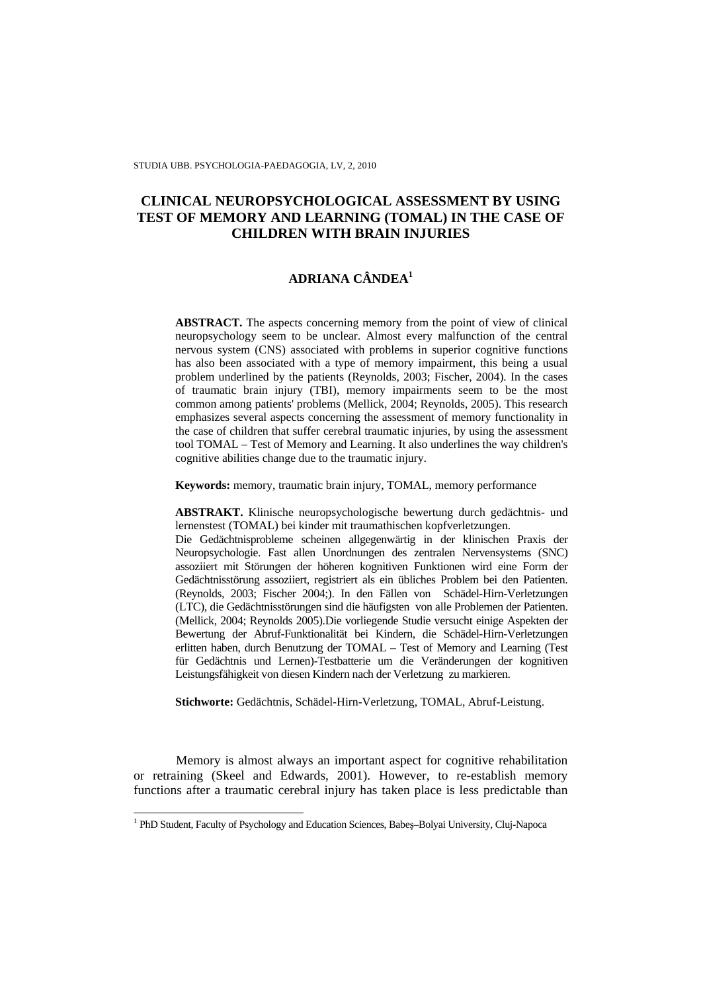STUDIA UBB. PSYCHOLOGIA-PAEDAGOGIA, LV, 2, 2010

# **CLINICAL NEUROPSYCHOLOGICAL ASSESSMENT BY USING TEST OF MEMORY AND LEARNING (TOMAL) IN THE CASE OF CHILDREN WITH BRAIN INJURIES**

# **ADRIANA CÂNDEA<sup>1</sup>**

**ABSTRACT.** The aspects concerning memory from the point of view of clinical neuropsychology seem to be unclear. Almost every malfunction of the central nervous system (CNS) associated with problems in superior cognitive functions has also been associated with a type of memory impairment, this being a usual problem underlined by the patients (Reynolds, 2003; Fischer, 2004). In the cases of traumatic brain injury (TBI), memory impairments seem to be the most common among patients' problems (Mellick, 2004; Reynolds, 2005). This research emphasizes several aspects concerning the assessment of memory functionality in the case of children that suffer cerebral traumatic injuries, by using the assessment tool TOMAL – Test of Memory and Learning. It also underlines the way children's cognitive abilities change due to the traumatic injury.

**Keywords:** memory, traumatic brain injury, TOMAL, memory performance

**ABSTRAKT.** Klinische neuropsychologische bewertung durch gedächtnis- und lernenstest (TOMAL) bei kinder mit traumathischen kopfverletzungen.

Die Gedächtnisprobleme scheinen allgegenwärtig in der klinischen Praxis der Neuropsychologie. Fast allen Unordnungen des zentralen Nervensystems (SNC) assoziiert mit Störungen der höheren kognitiven Funktionen wird eine Form der Gedächtnisstörung assoziiert, registriert als ein übliches Problem bei den Patienten. (Reynolds, 2003; Fischer 2004;). In den Fällen von Schädel-Hirn-Verletzungen (LTC), die Gedächtnisstörungen sind die häufigsten von alle Problemen der Patienten. (Mellick, 2004; Reynolds 2005).Die vorliegende Studie versucht einige Aspekten der Bewertung der Abruf-Funktionalität bei Kindern, die Schädel-Hirn-Verletzungen erlitten haben, durch Benutzung der TOMAL – Test of Memory and Learning (Test für Gedächtnis und Lernen)-Testbatterie um die Veränderungen der kognitiven Leistungsfähigkeit von diesen Kindern nach der Verletzung zu markieren.

**Stichworte:** Gedächtnis, Schädel-Hirn-Verletzung, TOMAL, Abruf-Leistung.

Memory is almost always an important aspect for cognitive rehabilitation or retraining (Skeel and Edwards, 2001). However, to re-establish memory functions after a traumatic cerebral injury has taken place is less predictable than

<sup>1&</sup>lt;br>
<sup>1</sup> PhD Student, Faculty of Psychology and Education Sciences, Babeș–Bolyai University, Cluj-Napoca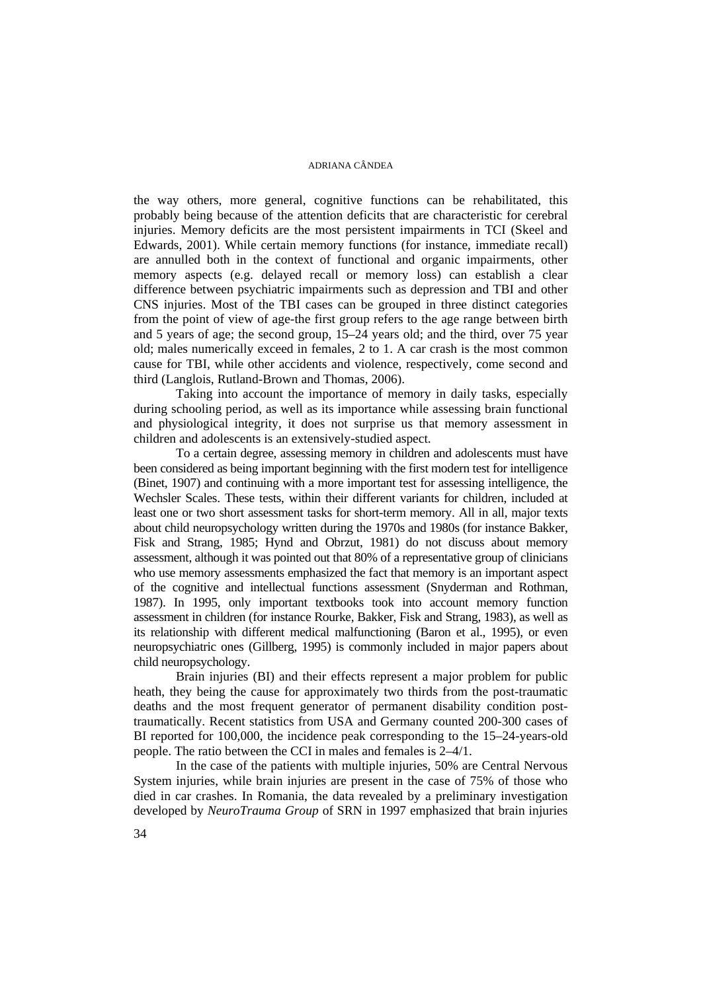the way others, more general, cognitive functions can be rehabilitated, this probably being because of the attention deficits that are characteristic for cerebral injuries. Memory deficits are the most persistent impairments in TCI (Skeel and Edwards, 2001). While certain memory functions (for instance, immediate recall) are annulled both in the context of functional and organic impairments, other memory aspects (e.g. delayed recall or memory loss) can establish a clear difference between psychiatric impairments such as depression and TBI and other CNS injuries. Most of the TBI cases can be grouped in three distinct categories from the point of view of age-the first group refers to the age range between birth and 5 years of age; the second group, 15–24 years old; and the third, over 75 year old; males numerically exceed in females, 2 to 1. A car crash is the most common cause for TBI, while other accidents and violence, respectively, come second and third (Langlois, Rutland-Brown and Thomas, 2006).

Taking into account the importance of memory in daily tasks, especially during schooling period, as well as its importance while assessing brain functional and physiological integrity, it does not surprise us that memory assessment in children and adolescents is an extensively-studied aspect.

To a certain degree, assessing memory in children and adolescents must have been considered as being important beginning with the first modern test for intelligence (Binet, 1907) and continuing with a more important test for assessing intelligence, the Wechsler Scales. These tests, within their different variants for children, included at least one or two short assessment tasks for short-term memory. All in all, major texts about child neuropsychology written during the 1970s and 1980s (for instance Bakker, Fisk and Strang, 1985; Hynd and Obrzut, 1981) do not discuss about memory assessment, although it was pointed out that 80% of a representative group of clinicians who use memory assessments emphasized the fact that memory is an important aspect of the cognitive and intellectual functions assessment (Snyderman and Rothman, 1987). In 1995, only important textbooks took into account memory function assessment in children (for instance Rourke, Bakker, Fisk and Strang, 1983), as well as its relationship with different medical malfunctioning (Baron et al., 1995), or even neuropsychiatric ones (Gillberg, 1995) is commonly included in major papers about child neuropsychology.

Brain injuries (BI) and their effects represent a major problem for public heath, they being the cause for approximately two thirds from the post-traumatic deaths and the most frequent generator of permanent disability condition posttraumatically. Recent statistics from USA and Germany counted 200-300 cases of BI reported for 100,000, the incidence peak corresponding to the 15–24-years-old people. The ratio between the CCI in males and females is 2–4/1.

In the case of the patients with multiple injuries, 50% are Central Nervous System injuries, while brain injuries are present in the case of 75% of those who died in car crashes. In Romania, the data revealed by a preliminary investigation developed by *NeuroTrauma Group* of SRN in 1997 emphasized that brain injuries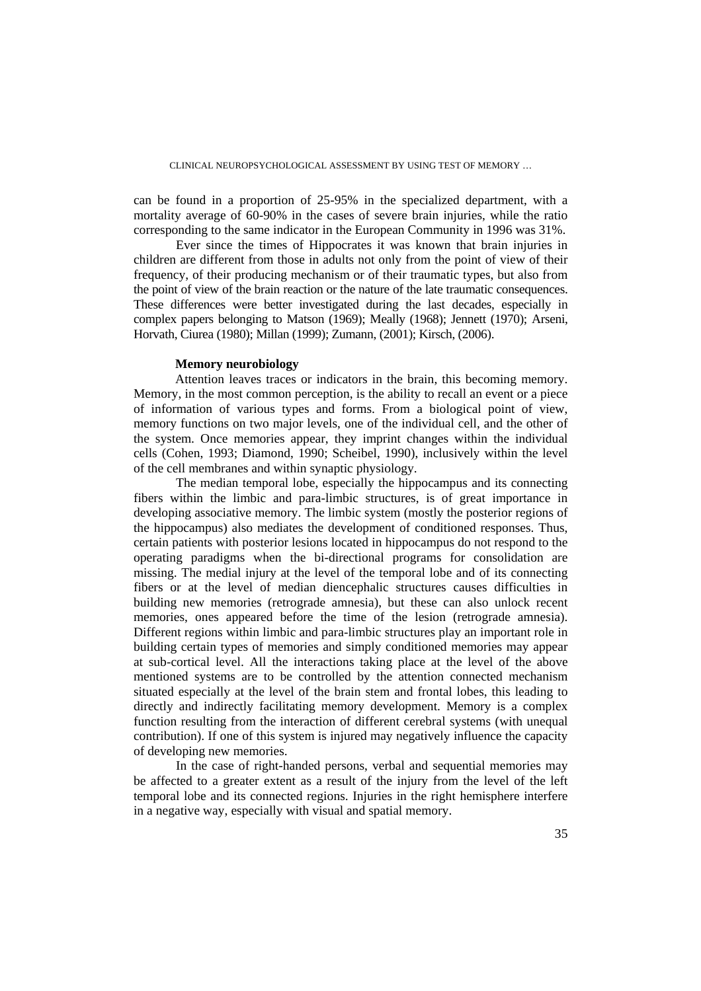can be found in a proportion of 25-95% in the specialized department, with a mortality average of 60-90% in the cases of severe brain injuries, while the ratio corresponding to the same indicator in the European Community in 1996 was 31%.

Ever since the times of Hippocrates it was known that brain injuries in children are different from those in adults not only from the point of view of their frequency, of their producing mechanism or of their traumatic types, but also from the point of view of the brain reaction or the nature of the late traumatic consequences. These differences were better investigated during the last decades, especially in complex papers belonging to Matson (1969); Meally (1968); Jennett (1970); Arseni, Horvath, Ciurea (1980); Millan (1999); Zumann, (2001); Kirsch, (2006).

## **Memory neurobiology**

Attention leaves traces or indicators in the brain, this becoming memory. Memory, in the most common perception, is the ability to recall an event or a piece of information of various types and forms. From a biological point of view, memory functions on two major levels, one of the individual cell, and the other of the system. Once memories appear, they imprint changes within the individual cells (Cohen, 1993; Diamond, 1990; Scheibel, 1990), inclusively within the level of the cell membranes and within synaptic physiology.

 The median temporal lobe, especially the hippocampus and its connecting fibers within the limbic and para-limbic structures, is of great importance in developing associative memory. The limbic system (mostly the posterior regions of the hippocampus) also mediates the development of conditioned responses. Thus, certain patients with posterior lesions located in hippocampus do not respond to the operating paradigms when the bi-directional programs for consolidation are missing. The medial injury at the level of the temporal lobe and of its connecting fibers or at the level of median diencephalic structures causes difficulties in building new memories (retrograde amnesia), but these can also unlock recent memories, ones appeared before the time of the lesion (retrograde amnesia). Different regions within limbic and para-limbic structures play an important role in building certain types of memories and simply conditioned memories may appear at sub-cortical level. All the interactions taking place at the level of the above mentioned systems are to be controlled by the attention connected mechanism situated especially at the level of the brain stem and frontal lobes, this leading to directly and indirectly facilitating memory development. Memory is a complex function resulting from the interaction of different cerebral systems (with unequal contribution). If one of this system is injured may negatively influence the capacity of developing new memories.

In the case of right-handed persons, verbal and sequential memories may be affected to a greater extent as a result of the injury from the level of the left temporal lobe and its connected regions. Injuries in the right hemisphere interfere in a negative way, especially with visual and spatial memory.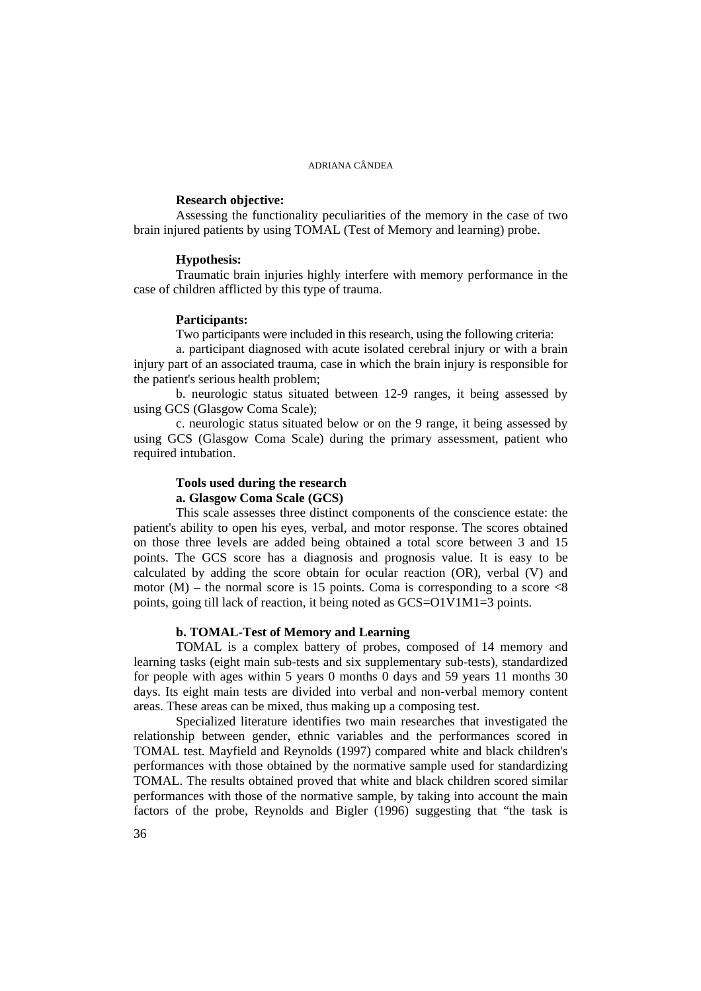# **Research objective:**

Assessing the functionality peculiarities of the memory in the case of two brain injured patients by using TOMAL (Test of Memory and learning) probe.

#### **Hypothesis:**

Traumatic brain injuries highly interfere with memory performance in the case of children afflicted by this type of trauma.

### **Participants:**

Two participants were included in this research, using the following criteria:

a. participant diagnosed with acute isolated cerebral injury or with a brain injury part of an associated trauma, case in which the brain injury is responsible for the patient's serious health problem;

b. neurologic status situated between 12-9 ranges, it being assessed by using GCS (Glasgow Coma Scale);

c. neurologic status situated below or on the 9 range, it being assessed by using GCS (Glasgow Coma Scale) during the primary assessment, patient who required intubation.

# **Tools used during the research a. Glasgow Coma Scale (GCS)**

This scale assesses three distinct components of the conscience estate: the patient's ability to open his eyes, verbal, and motor response. The scores obtained on those three levels are added being obtained a total score between 3 and 15 points. The GCS score has a diagnosis and prognosis value. It is easy to be calculated by adding the score obtain for ocular reaction (OR), verbal (V) and motor  $(M)$  – the normal score is 15 points. Coma is corresponding to a score  $\langle 8 \rangle$ points, going till lack of reaction, it being noted as GCS=O1V1M1=3 points.

# **b. TOMAL-Test of Memory and Learning**

TOMAL is a complex battery of probes, composed of 14 memory and learning tasks (eight main sub-tests and six supplementary sub-tests), standardized for people with ages within 5 years 0 months 0 days and 59 years 11 months 30 days. Its eight main tests are divided into verbal and non-verbal memory content areas. These areas can be mixed, thus making up a composing test.

Specialized literature identifies two main researches that investigated the relationship between gender, ethnic variables and the performances scored in TOMAL test. Mayfield and Reynolds (1997) compared white and black children's performances with those obtained by the normative sample used for standardizing TOMAL. The results obtained proved that white and black children scored similar performances with those of the normative sample, by taking into account the main factors of the probe, Reynolds and Bigler (1996) suggesting that "the task is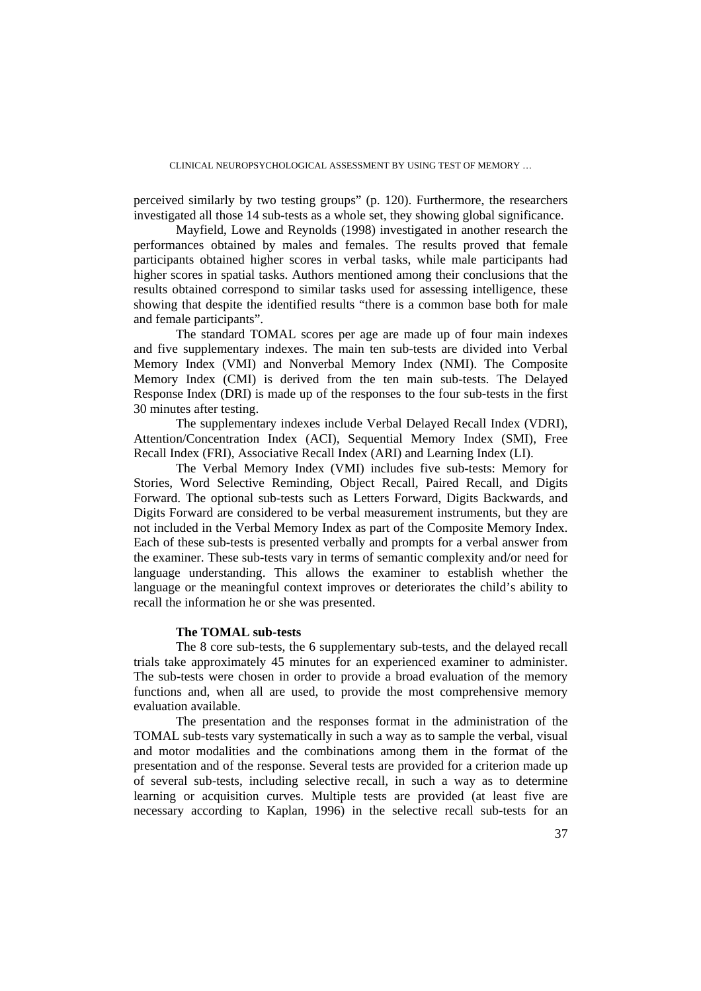CLINICAL NEUROPSYCHOLOGICAL ASSESSMENT BY USING TEST OF MEMORY …

perceived similarly by two testing groups" (p. 120). Furthermore, the researchers investigated all those 14 sub-tests as a whole set, they showing global significance.

Mayfield, Lowe and Reynolds (1998) investigated in another research the performances obtained by males and females. The results proved that female participants obtained higher scores in verbal tasks, while male participants had higher scores in spatial tasks. Authors mentioned among their conclusions that the results obtained correspond to similar tasks used for assessing intelligence, these showing that despite the identified results "there is a common base both for male and female participants".

 The standard TOMAL scores per age are made up of four main indexes and five supplementary indexes. The main ten sub-tests are divided into Verbal Memory Index (VMI) and Nonverbal Memory Index (NMI). The Composite Memory Index (CMI) is derived from the ten main sub-tests. The Delayed Response Index (DRI) is made up of the responses to the four sub-tests in the first 30 minutes after testing.

The supplementary indexes include Verbal Delayed Recall Index (VDRI), Attention/Concentration Index (ACI), Sequential Memory Index (SMI), Free Recall Index (FRI), Associative Recall Index (ARI) and Learning Index (LI).

The Verbal Memory Index (VMI) includes five sub-tests: Memory for Stories, Word Selective Reminding, Object Recall, Paired Recall, and Digits Forward. The optional sub-tests such as Letters Forward, Digits Backwards, and Digits Forward are considered to be verbal measurement instruments, but they are not included in the Verbal Memory Index as part of the Composite Memory Index. Each of these sub-tests is presented verbally and prompts for a verbal answer from the examiner. These sub-tests vary in terms of semantic complexity and/or need for language understanding. This allows the examiner to establish whether the language or the meaningful context improves or deteriorates the child's ability to recall the information he or she was presented.

# **The TOMAL sub-tests**

The 8 core sub-tests, the 6 supplementary sub-tests, and the delayed recall trials take approximately 45 minutes for an experienced examiner to administer. The sub-tests were chosen in order to provide a broad evaluation of the memory functions and, when all are used, to provide the most comprehensive memory evaluation available.

The presentation and the responses format in the administration of the TOMAL sub-tests vary systematically in such a way as to sample the verbal, visual and motor modalities and the combinations among them in the format of the presentation and of the response. Several tests are provided for a criterion made up of several sub-tests, including selective recall, in such a way as to determine learning or acquisition curves. Multiple tests are provided (at least five are necessary according to Kaplan, 1996) in the selective recall sub-tests for an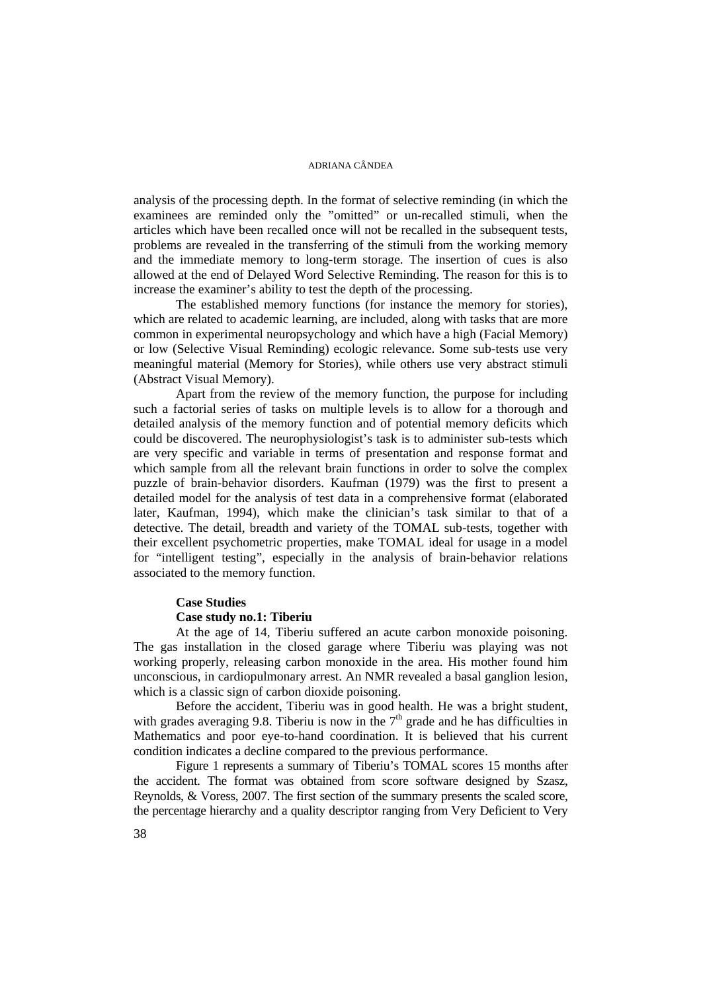analysis of the processing depth. In the format of selective reminding (in which the examinees are reminded only the "omitted" or un-recalled stimuli, when the articles which have been recalled once will not be recalled in the subsequent tests, problems are revealed in the transferring of the stimuli from the working memory and the immediate memory to long-term storage. The insertion of cues is also allowed at the end of Delayed Word Selective Reminding. The reason for this is to increase the examiner's ability to test the depth of the processing.

The established memory functions (for instance the memory for stories), which are related to academic learning, are included, along with tasks that are more common in experimental neuropsychology and which have a high (Facial Memory) or low (Selective Visual Reminding) ecologic relevance. Some sub-tests use very meaningful material (Memory for Stories), while others use very abstract stimuli (Abstract Visual Memory).

Apart from the review of the memory function, the purpose for including such a factorial series of tasks on multiple levels is to allow for a thorough and detailed analysis of the memory function and of potential memory deficits which could be discovered. The neurophysiologist's task is to administer sub-tests which are very specific and variable in terms of presentation and response format and which sample from all the relevant brain functions in order to solve the complex puzzle of brain-behavior disorders. Kaufman (1979) was the first to present a detailed model for the analysis of test data in a comprehensive format (elaborated later, Kaufman, 1994), which make the clinician's task similar to that of a detective. The detail, breadth and variety of the TOMAL sub-tests, together with their excellent psychometric properties, make TOMAL ideal for usage in a model for "intelligent testing", especially in the analysis of brain-behavior relations associated to the memory function.

# **Case Studies**

#### **Case study no.1: Tiberiu**

At the age of 14, Tiberiu suffered an acute carbon monoxide poisoning. The gas installation in the closed garage where Tiberiu was playing was not working properly, releasing carbon monoxide in the area. His mother found him unconscious, in cardiopulmonary arrest. An NMR revealed a basal ganglion lesion, which is a classic sign of carbon dioxide poisoning.

 Before the accident, Tiberiu was in good health. He was a bright student, with grades averaging 9.8. Tiberiu is now in the  $7<sup>th</sup>$  grade and he has difficulties in Mathematics and poor eye-to-hand coordination. It is believed that his current condition indicates a decline compared to the previous performance.

Figure 1 represents a summary of Tiberiu's TOMAL scores 15 months after the accident. The format was obtained from score software designed by Szasz, Reynolds, & Voress, 2007. The first section of the summary presents the scaled score, the percentage hierarchy and a quality descriptor ranging from Very Deficient to Very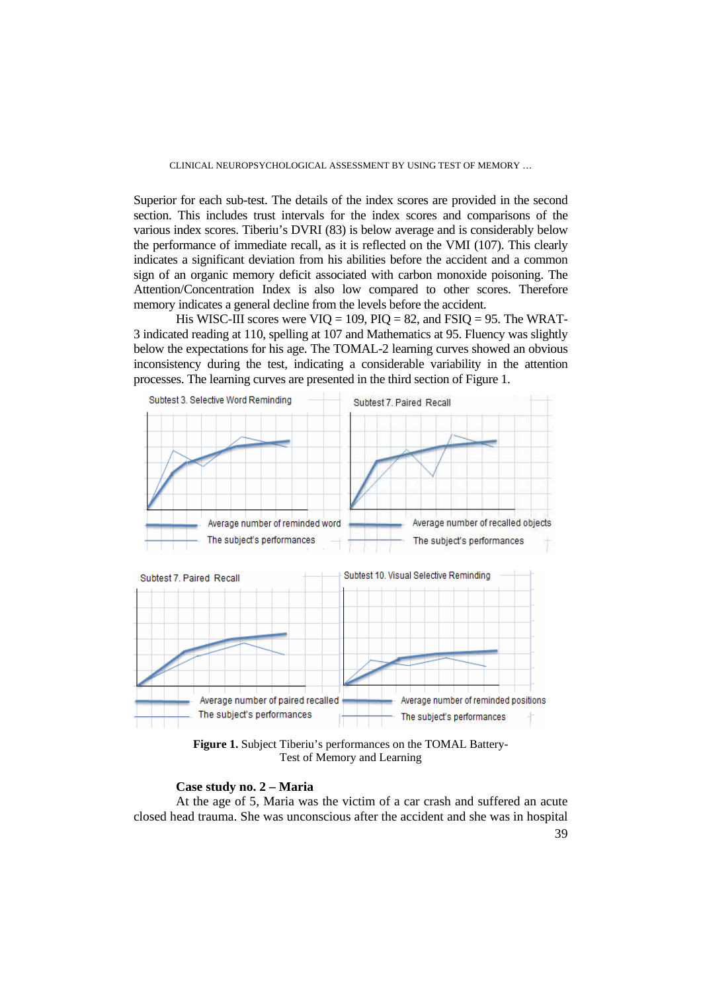Superior for each sub-test. The details of the index scores are provided in the second section. This includes trust intervals for the index scores and comparisons of the various index scores. Tiberiu's DVRI (83) is below average and is considerably below the performance of immediate recall, as it is reflected on the VMI (107). This clearly indicates a significant deviation from his abilities before the accident and a common sign of an organic memory deficit associated with carbon monoxide poisoning. The Attention/Concentration Index is also low compared to other scores. Therefore memory indicates a general decline from the levels before the accident.

His WISC-III scores were  $VIO = 109$ ,  $PIO = 82$ , and  $FSIO = 95$ . The WRAT-3 indicated reading at 110, spelling at 107 and Mathematics at 95. Fluency was slightly below the expectations for his age. The TOMAL-2 learning curves showed an obvious inconsistency during the test, indicating a considerable variability in the attention processes. The learning curves are presented in the third section of Figure 1.



**Figure 1.** Subject Tiberiu's performances on the TOMAL Battery-Test of Memory and Learning

#### **Case study no. 2 – Maria**

At the age of 5, Maria was the victim of a car crash and suffered an acute closed head trauma. She was unconscious after the accident and she was in hospital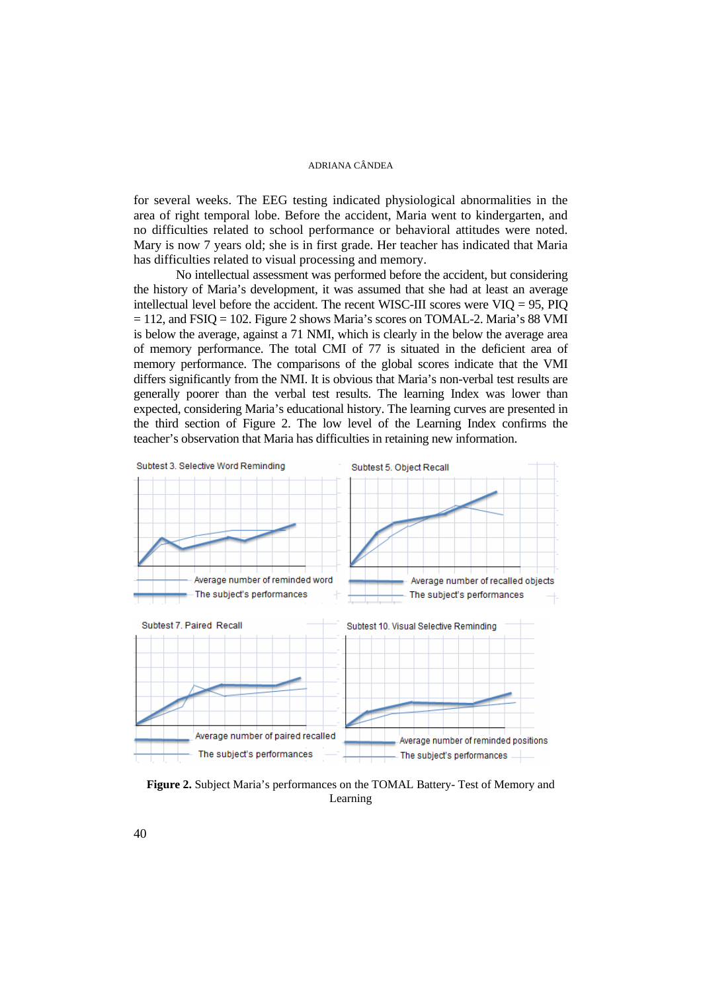for several weeks. The EEG testing indicated physiological abnormalities in the area of right temporal lobe. Before the accident, Maria went to kindergarten, and no difficulties related to school performance or behavioral attitudes were noted. Mary is now 7 years old; she is in first grade. Her teacher has indicated that Maria has difficulties related to visual processing and memory.

No intellectual assessment was performed before the accident, but considering the history of Maria's development, it was assumed that she had at least an average intellectual level before the accident. The recent WISC-III scores were  $VIO = 95$ , PIO  $= 112$ , and FSIQ = 102. Figure 2 shows Maria's scores on TOMAL-2. Maria's 88 VMI is below the average, against a 71 NMI, which is clearly in the below the average area of memory performance. The total CMI of 77 is situated in the deficient area of memory performance. The comparisons of the global scores indicate that the VMI differs significantly from the NMI. It is obvious that Maria's non-verbal test results are generally poorer than the verbal test results. The learning Index was lower than expected, considering Maria's educational history. The learning curves are presented in the third section of Figure 2. The low level of the Learning Index confirms the teacher's observation that Maria has difficulties in retaining new information.



**Figure 2.** Subject Maria's performances on the TOMAL Battery- Test of Memory and Learning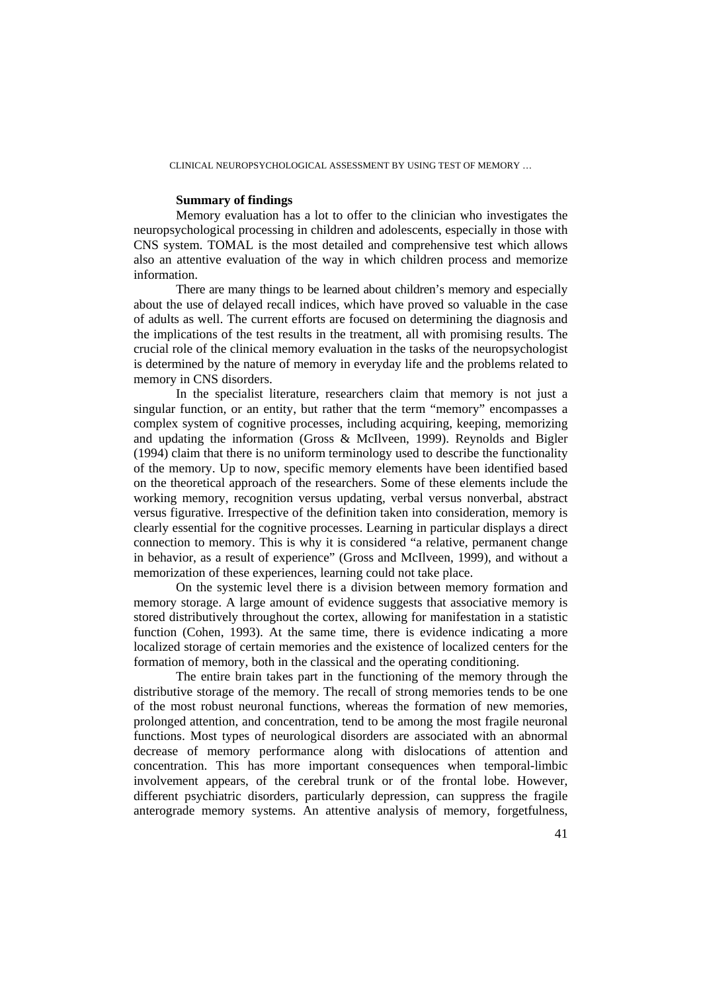CLINICAL NEUROPSYCHOLOGICAL ASSESSMENT BY USING TEST OF MEMORY …

# **Summary of findings**

Memory evaluation has a lot to offer to the clinician who investigates the neuropsychological processing in children and adolescents, especially in those with CNS system. TOMAL is the most detailed and comprehensive test which allows also an attentive evaluation of the way in which children process and memorize information.

 There are many things to be learned about children's memory and especially about the use of delayed recall indices, which have proved so valuable in the case of adults as well. The current efforts are focused on determining the diagnosis and the implications of the test results in the treatment, all with promising results. The crucial role of the clinical memory evaluation in the tasks of the neuropsychologist is determined by the nature of memory in everyday life and the problems related to memory in CNS disorders.

In the specialist literature, researchers claim that memory is not just a singular function, or an entity, but rather that the term "memory" encompasses a complex system of cognitive processes, including acquiring, keeping, memorizing and updating the information (Gross & McIlveen, 1999). Reynolds and Bigler (1994) claim that there is no uniform terminology used to describe the functionality of the memory. Up to now, specific memory elements have been identified based on the theoretical approach of the researchers. Some of these elements include the working memory, recognition versus updating, verbal versus nonverbal, abstract versus figurative. Irrespective of the definition taken into consideration, memory is clearly essential for the cognitive processes. Learning in particular displays a direct connection to memory. This is why it is considered "a relative, permanent change in behavior, as a result of experience" (Gross and McIlveen, 1999), and without a memorization of these experiences, learning could not take place.

 On the systemic level there is a division between memory formation and memory storage. A large amount of evidence suggests that associative memory is stored distributively throughout the cortex, allowing for manifestation in a statistic function (Cohen, 1993). At the same time, there is evidence indicating a more localized storage of certain memories and the existence of localized centers for the formation of memory, both in the classical and the operating conditioning.

The entire brain takes part in the functioning of the memory through the distributive storage of the memory. The recall of strong memories tends to be one of the most robust neuronal functions, whereas the formation of new memories, prolonged attention, and concentration, tend to be among the most fragile neuronal functions. Most types of neurological disorders are associated with an abnormal decrease of memory performance along with dislocations of attention and concentration. This has more important consequences when temporal-limbic involvement appears, of the cerebral trunk or of the frontal lobe. However, different psychiatric disorders, particularly depression, can suppress the fragile anterograde memory systems. An attentive analysis of memory, forgetfulness,